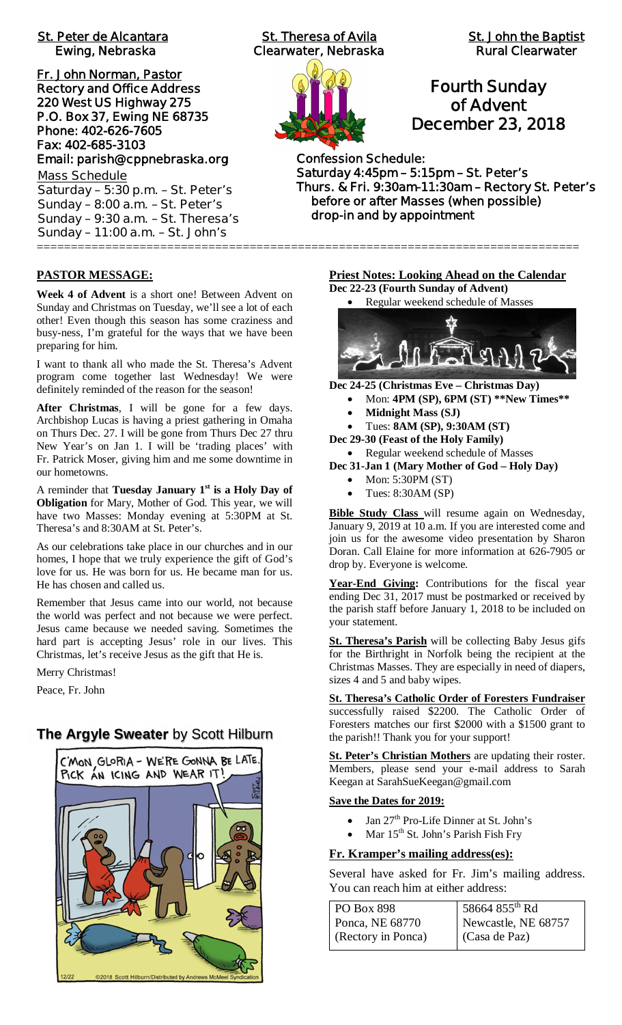# **St. Peter de Alcantara St. Theresa of Avila St. John the Baptist**

**Fr. John Norman, Pastor Rectory and Office Address 220 West US Highway 275 P.O. Box 37, Ewing NE 68735 Phone: 402-626-7605 Fax: 402-685-3103 Email: parish@cppnebraska.org Mass Schedule**

**Saturday – 5:30 p.m. – St. Peter's Sunday – 8:00 a.m. – St. Peter's Sunday – 9:30 a.m. – St. Theresa's Sunday – 11:00 a.m. – St. John's** ===============================================================================

 **Ewing, Nebraska Clearwater, Nebraska Rural Clearwater**



# **Fourth Sunday of Advent December 23, 2018**

**Confession Schedule: Saturday 4:45pm – 5:15pm – St. Peter's Thurs. & Fri. 9:30am-11:30am – Rectory St. Peter's before or after Masses (when possible) drop-in and by appointment**

### **PASTOR MESSAGE:**

**Week 4 of Advent** is a short one! Between Advent on Sunday and Christmas on Tuesday, we'll see a lot of each other! Even though this season has some craziness and busy-ness, I'm grateful for the ways that we have been preparing for him.

I want to thank all who made the St. Theresa's Advent program come together last Wednesday! We were definitely reminded of the reason for the season!

**After Christmas**, I will be gone for a few days. Archbishop Lucas is having a priest gathering in Omaha on Thurs Dec. 27. I will be gone from Thurs Dec 27 thru New Year's on Jan 1. I will be 'trading places' with Fr. Patrick Moser, giving him and me some downtime in our hometowns.

A reminder that **Tuesday January 1st is a Holy Day of Obligation** for Mary, Mother of God. This year, we will have two Masses: Monday evening at 5:30PM at St. Theresa's and 8:30AM at St. Peter's.

As our celebrations take place in our churches and in our homes, I hope that we truly experience the gift of God's love for us. He was born for us. He became man for us. He has chosen and called us.

Remember that Jesus came into our world, not because the world was perfect and not because we were perfect. Jesus came because we needed saving. Sometimes the hard part is accepting Jesus' role in our lives. This Christmas, let's receive Jesus as the gift that He is.

Merry Christmas!

Peace, Fr. John

# **The Argyle Sweater** by Scott Hilburn



**Priest Notes: Looking Ahead on the Calendar Dec 22-23 (Fourth Sunday of Advent)**



**Dec 24-25 (Christmas Eve – Christmas Day)**

- · Mon: **4PM (SP), 6PM (ST) \*\*New Times\*\***
	- · **Midnight Mass (SJ)**

· Tues: **8AM (SP), 9:30AM (ST)**

**Dec 29-30 (Feast of the Holy Family)**

· Regular weekend schedule of Masses

- **Dec 31-Jan 1 (Mary Mother of God Holy Day)**
	- Mon: 5:30PM (ST)
	- Tues: 8:30AM (SP)

**Bible Study Class** will resume again on Wednesday, January 9, 2019 at 10 a.m. If you are interested come and join us for the awesome video presentation by Sharon Doran. Call Elaine for more information at 626-7905 or drop by. Everyone is welcome.

**Year-End Giving:** Contributions for the fiscal year ending Dec 31, 2017 must be postmarked or received by the parish staff before January 1, 2018 to be included on your statement.

**St. Theresa's Parish** will be collecting Baby Jesus gifs for the Birthright in Norfolk being the recipient at the Christmas Masses. They are especially in need of diapers, sizes 4 and 5 and baby wipes.

**St. Theresa's Catholic Order of Foresters Fundraiser** successfully raised \$2200. The Catholic Order of Foresters matches our first \$2000 with a \$1500 grant to the parish!! Thank you for your support!

**St. Peter's Christian Mothers** are updating their roster. Members, please send your e-mail address to Sarah Keegan at SarahSueKeegan@gmail.com

### **Save the Dates for 2019:**

- Jan 27<sup>th</sup> Pro-Life Dinner at St. John's
- Mar 15<sup>th</sup> St. John's Parish Fish Fry

### **Fr. Kramper's mailing address(es):**

Several have asked for Fr. Jim's mailing address. You can reach him at either address:

| <b>PO Box 898</b>  | 58664 855 <sup>th</sup> Rd |
|--------------------|----------------------------|
| Ponca, NE 68770    | Newcastle, NE 68757        |
| (Rectory in Ponca) | (Casa de Paz)              |